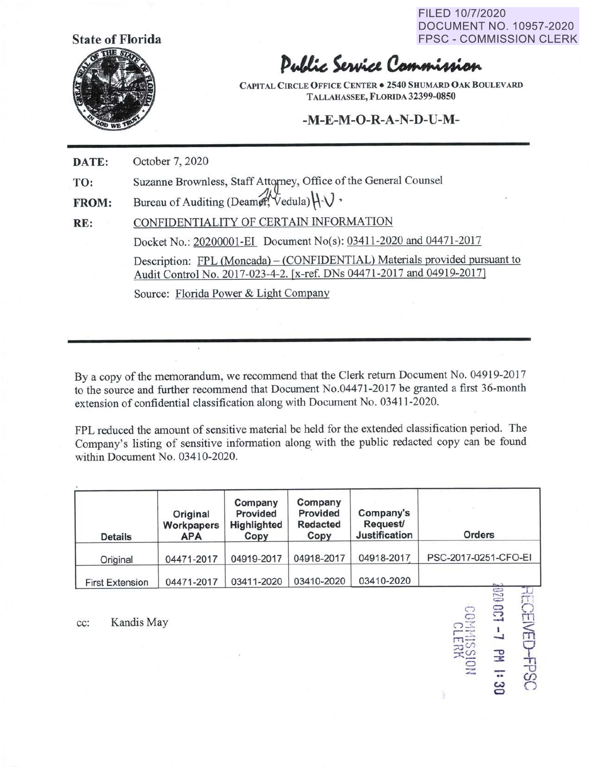FILED 10/7/2020 DOCUMENT NO. 10957-2020 FPSC - COMMISSION CLERK

 $\overline{1}$ 

 $\bigcirc$ rn  $\widehat{\widehat{\pi}}$ 

모<br><u>+</u>g

*Cl)*   $\subset$ 

-..



## Public Service Commission

**CAPITAL CIRCLE OFFICE CENTER** • **2540 SHUMARD OAK BOULEVARD TALLAHASSEE, FLORIDA 32399-0850** 

## **-M-E-M-O-R-A-N-D-U-M-**

**DATE:**  October 7, 2020

**TO:**  Suzanne Brownless, Staff Attorney, Office of the General Counsel

**FROM:**  Bureau of Auditing (Deamer,  $\forall$ edula) $\forall \forall$ .

**RE:**  CONFIDENTIALITY OF CERTAIN INFORMATION Docket No.: 20200001-EI Document No(s): 03411-2020 and 04471-2017 Description: FPL (Moncada) – (CONFIDENTIAL) Materials provided pursuant to Audit Control No. 2017-023-4-2. (x-ref. DNs 04471-2017 and 04919-2017) Source: Florida Power & Light Company

By a copy of the memorandum, we recommend that the Clerk return Document No. 04919-2017 to the source and further recommend that Document No.04471-2017 be granted a first 36-month extension of confidential classification along with Document No. 03411-2020.

FPL reduced the amount of sensitive material be held for the extended classification period. The Company's listing of sensitive information along with the public redacted copy can be found within Document No. 03410-2020.

| <b>Details</b>         | Original<br>Workpapers<br><b>APA</b> | Company<br>Provided<br>Highlighted<br>Copy | Company<br>Provided<br><b>Redacted</b><br>Copy | Company's<br>Request/<br><b>Justification</b> | <b>Orders</b>                 |
|------------------------|--------------------------------------|--------------------------------------------|------------------------------------------------|-----------------------------------------------|-------------------------------|
| Original               | 04471-2017                           | 04919-2017                                 | 04918-2017                                     | 04918-2017                                    | PSC-2017-0251-CFO-EI          |
| <b>First Extension</b> | 04471-2017                           | 03411-2020                                 | 03410-2020                                     | 03410-2020                                    | $P_{101}$ <sup>1</sup><br>820 |

cc: Kandis May